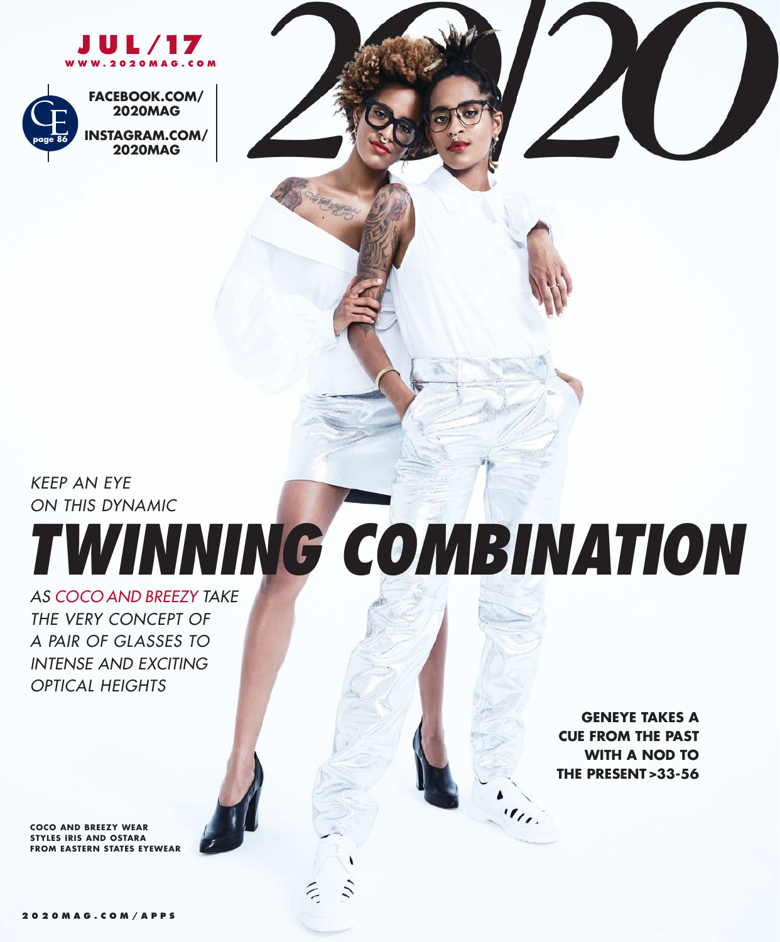



*KEEP AN EYE ON THIS DYNAMIC*

## *TWINNING COMBINATION*

*AS COCO AND BREEZY TAKE THE VERY CONCEPT OF A PAIR OF GLASSES TO INTENSE AND EXCITING OPTICAL HEIGHTS*

**COCO AND BREEZY WEAR STYLES IRIS AND OSTARA FROM EASTERN STATES EYEWEAR**

**GENEYE TAKES A CUE FROM THE PAST WITH A NOD TO THE PRESENT >33-56**

 $\overline{\mathcal{H}}$